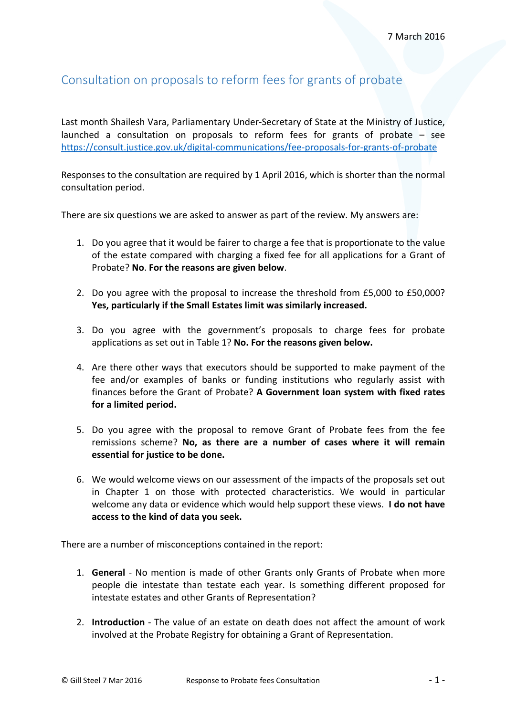## Consultation on proposals to reform fees for grants of probate

Last month Shailesh Vara, Parliamentary Under-Secretary of State at the Ministry of Justice, launched a consultation on proposals to reform fees for grants of probate – see <https://consult.justice.gov.uk/digital-communications/fee-proposals-for-grants-of-probate>

Responses to the consultation are required by 1 April 2016, which is shorter than the normal consultation period.

There are six questions we are asked to answer as part of the review. My answers are:

- 1. Do you agree that it would be fairer to charge a fee that is proportionate to the value of the estate compared with charging a fixed fee for all applications for a Grant of Probate? **No**. **For the reasons are given below**.
- 2. Do you agree with the proposal to increase the threshold from £5,000 to £50,000? **Yes, particularly if the Small Estates limit was similarly increased.**
- 3. Do you agree with the government's proposals to charge fees for probate applications as set out in Table 1? **No. For the reasons given below.**
- 4. Are there other ways that executors should be supported to make payment of the fee and/or examples of banks or funding institutions who regularly assist with finances before the Grant of Probate? **A Government loan system with fixed rates for a limited period.**
- 5. Do you agree with the proposal to remove Grant of Probate fees from the fee remissions scheme? **No, as there are a number of cases where it will remain essential for justice to be done.**
- 6. We would welcome views on our assessment of the impacts of the proposals set out in Chapter 1 on those with protected characteristics. We would in particular welcome any data or evidence which would help support these views. **I do not have access to the kind of data you seek.**

There are a number of misconceptions contained in the report:

- 1. **General** No mention is made of other Grants only Grants of Probate when more people die intestate than testate each year. Is something different proposed for intestate estates and other Grants of Representation?
- 2. **Introduction** The value of an estate on death does not affect the amount of work involved at the Probate Registry for obtaining a Grant of Representation.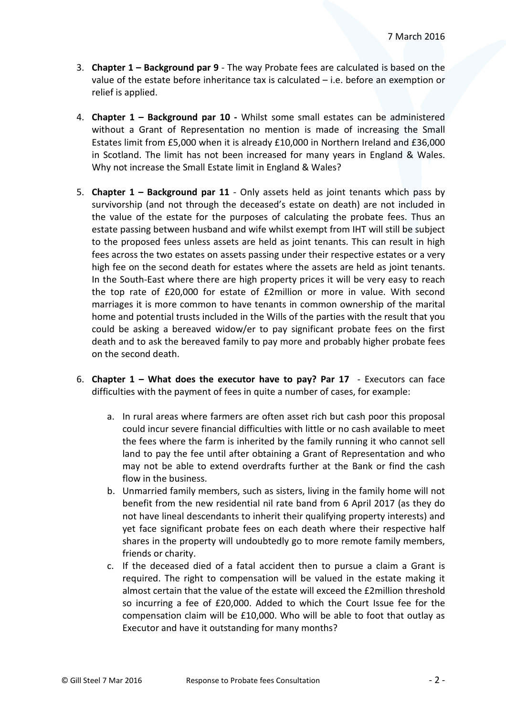- 3. **Chapter 1 Background par 9** The way Probate fees are calculated is based on the value of the estate before inheritance tax is calculated – i.e. before an exemption or relief is applied.
- 4. **Chapter 1 Background par 10 -** Whilst some small estates can be administered without a Grant of Representation no mention is made of increasing the Small Estates limit from £5,000 when it is already £10,000 in Northern Ireland and £36,000 in Scotland. The limit has not been increased for many years in England & Wales. Why not increase the Small Estate limit in England & Wales?
- 5. **Chapter 1 Background par 11** Only assets held as joint tenants which pass by survivorship (and not through the deceased's estate on death) are not included in the value of the estate for the purposes of calculating the probate fees. Thus an estate passing between husband and wife whilst exempt from IHT will still be subject to the proposed fees unless assets are held as joint tenants. This can result in high fees across the two estates on assets passing under their respective estates or a very high fee on the second death for estates where the assets are held as joint tenants. In the South-East where there are high property prices it will be very easy to reach the top rate of £20,000 for estate of £2million or more in value. With second marriages it is more common to have tenants in common ownership of the marital home and potential trusts included in the Wills of the parties with the result that you could be asking a bereaved widow/er to pay significant probate fees on the first death and to ask the bereaved family to pay more and probably higher probate fees on the second death.
- 6. **Chapter 1 What does the executor have to pay? Par 17** Executors can face difficulties with the payment of fees in quite a number of cases, for example:
	- a. In rural areas where farmers are often asset rich but cash poor this proposal could incur severe financial difficulties with little or no cash available to meet the fees where the farm is inherited by the family running it who cannot sell land to pay the fee until after obtaining a Grant of Representation and who may not be able to extend overdrafts further at the Bank or find the cash flow in the business.
	- b. Unmarried family members, such as sisters, living in the family home will not benefit from the new residential nil rate band from 6 April 2017 (as they do not have lineal descendants to inherit their qualifying property interests) and yet face significant probate fees on each death where their respective half shares in the property will undoubtedly go to more remote family members, friends or charity.
	- c. If the deceased died of a fatal accident then to pursue a claim a Grant is required. The right to compensation will be valued in the estate making it almost certain that the value of the estate will exceed the £2million threshold so incurring a fee of £20,000. Added to which the Court Issue fee for the compensation claim will be £10,000. Who will be able to foot that outlay as Executor and have it outstanding for many months?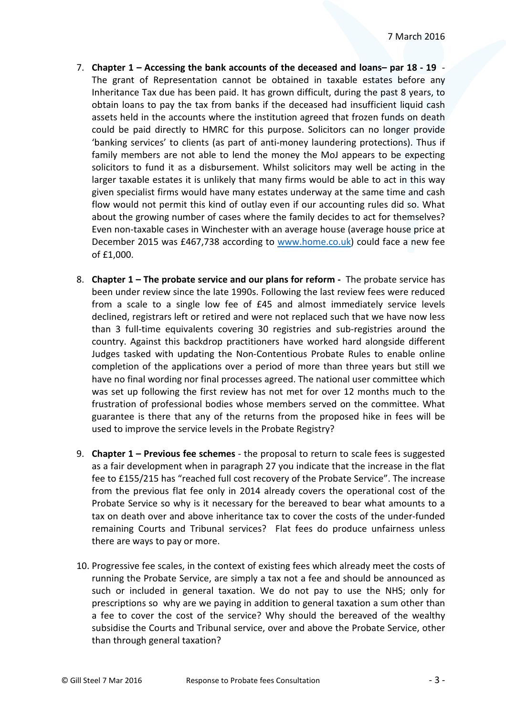- 7. **Chapter 1 Accessing the bank accounts of the deceased and loans– par 18 19** The grant of Representation cannot be obtained in taxable estates before any Inheritance Tax due has been paid. It has grown difficult, during the past 8 years, to obtain loans to pay the tax from banks if the deceased had insufficient liquid cash assets held in the accounts where the institution agreed that frozen funds on death could be paid directly to HMRC for this purpose. Solicitors can no longer provide 'banking services' to clients (as part of anti-money laundering protections). Thus if family members are not able to lend the money the MoJ appears to be expecting solicitors to fund it as a disbursement. Whilst solicitors may well be acting in the larger taxable estates it is unlikely that many firms would be able to act in this way given specialist firms would have many estates underway at the same time and cash flow would not permit this kind of outlay even if our accounting rules did so. What about the growing number of cases where the family decides to act for themselves? Even non-taxable cases in Winchester with an average house (average house price at December 2015 was £467,738 according to [www.home.co.uk\)](http://www.home.co.uk/) could face a new fee of £1,000.
- 8. **Chapter 1 The probate service and our plans for reform -** The probate service has been under review since the late 1990s. Following the last review fees were reduced from a scale to a single low fee of £45 and almost immediately service levels declined, registrars left or retired and were not replaced such that we have now less than 3 full-time equivalents covering 30 registries and sub-registries around the country. Against this backdrop practitioners have worked hard alongside different Judges tasked with updating the Non-Contentious Probate Rules to enable online completion of the applications over a period of more than three years but still we have no final wording nor final processes agreed. The national user committee which was set up following the first review has not met for over 12 months much to the frustration of professional bodies whose members served on the committee. What guarantee is there that any of the returns from the proposed hike in fees will be used to improve the service levels in the Probate Registry?
- 9. **Chapter 1 – Previous fee schemes** the proposal to return to scale fees is suggested as a fair development when in paragraph 27 you indicate that the increase in the flat fee to £155/215 has "reached full cost recovery of the Probate Service". The increase from the previous flat fee only in 2014 already covers the operational cost of the Probate Service so why is it necessary for the bereaved to bear what amounts to a tax on death over and above inheritance tax to cover the costs of the under-funded remaining Courts and Tribunal services? Flat fees do produce unfairness unless there are ways to pay or more.
- 10. Progressive fee scales, in the context of existing fees which already meet the costs of running the Probate Service, are simply a tax not a fee and should be announced as such or included in general taxation. We do not pay to use the NHS; only for prescriptions so why are we paying in addition to general taxation a sum other than a fee to cover the cost of the service? Why should the bereaved of the wealthy subsidise the Courts and Tribunal service, over and above the Probate Service, other than through general taxation?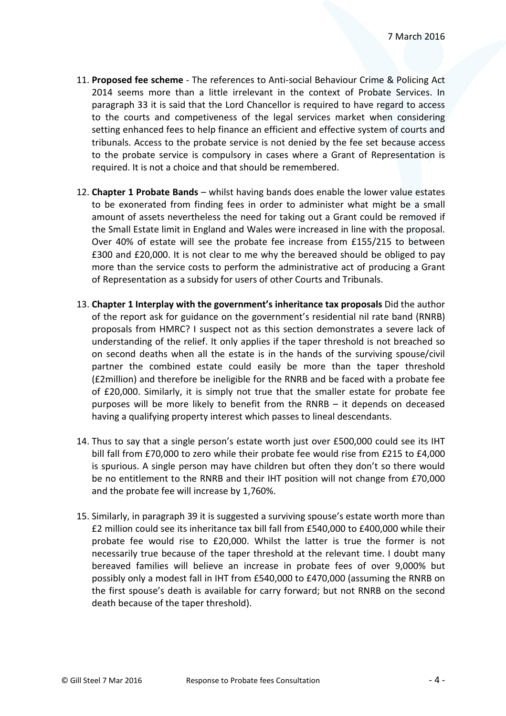- 11. **Proposed fee scheme** The references to Anti-social Behaviour Crime & Policing Act 2014 seems more than a little irrelevant in the context of Probate Services. In paragraph 33 it is said that the Lord Chancellor is required to have regard to access to the courts and competiveness of the legal services market when considering setting enhanced fees to help finance an efficient and effective system of courts and tribunals. Access to the probate service is not denied by the fee set because access to the probate service is compulsory in cases where a Grant of Representation is required. It is not a choice and that should be remembered.
- 12. **Chapter 1 Probate Bands** whilst having bands does enable the lower value estates to be exonerated from finding fees in order to administer what might be a small amount of assets nevertheless the need for taking out a Grant could be removed if the Small Estate limit in England and Wales were increased in line with the proposal. Over 40% of estate will see the probate fee increase from £155/215 to between £300 and £20,000. It is not clear to me why the bereaved should be obliged to pay more than the service costs to perform the administrative act of producing a Grant of Representation as a subsidy for users of other Courts and Tribunals.
- 13. **Chapter 1 Interplay with the government's inheritance tax proposals** Did the author of the report ask for guidance on the government's residential nil rate band (RNRB) proposals from HMRC? I suspect not as this section demonstrates a severe lack of understanding of the relief. It only applies if the taper threshold is not breached so on second deaths when all the estate is in the hands of the surviving spouse/civil partner the combined estate could easily be more than the taper threshold (£2million) and therefore be ineligible for the RNRB and be faced with a probate fee of £20,000. Similarly, it is simply not true that the smaller estate for probate fee purposes will be more likely to benefit from the RNRB – it depends on deceased having a qualifying property interest which passes to lineal descendants.
- 14. Thus to say that a single person's estate worth just over £500,000 could see its IHT bill fall from £70,000 to zero while their probate fee would rise from £215 to £4,000 is spurious. A single person may have children but often they don't so there would be no entitlement to the RNRB and their IHT position will not change from £70,000 and the probate fee will increase by 1,760%.
- 15. Similarly, in paragraph 39 it is suggested a surviving spouse's estate worth more than £2 million could see its inheritance tax bill fall from £540,000 to £400,000 while their probate fee would rise to £20,000. Whilst the latter is true the former is not necessarily true because of the taper threshold at the relevant time. I doubt many bereaved families will believe an increase in probate fees of over 9,000% but possibly only a modest fall in IHT from £540,000 to £470,000 (assuming the RNRB on the first spouse's death is available for carry forward; but not RNRB on the second death because of the taper threshold).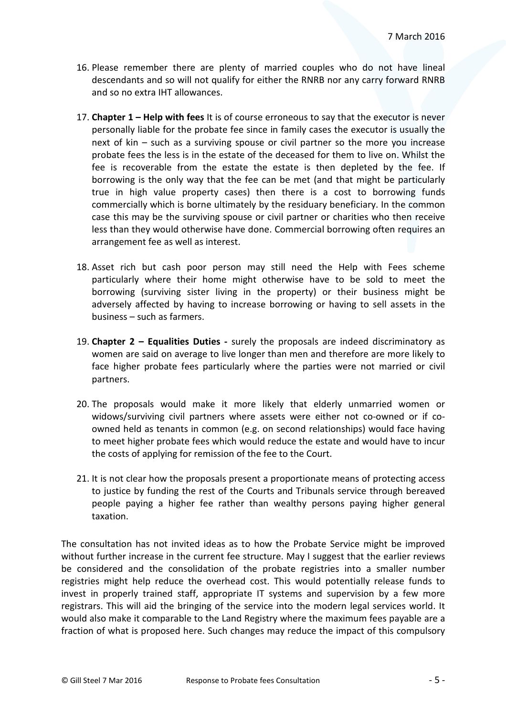- 16. Please remember there are plenty of married couples who do not have lineal descendants and so will not qualify for either the RNRB nor any carry forward RNRB and so no extra IHT allowances.
- 17. **Chapter 1 Help with fees** It is of course erroneous to say that the executor is never personally liable for the probate fee since in family cases the executor is usually the next of kin – such as a surviving spouse or civil partner so the more you increase probate fees the less is in the estate of the deceased for them to live on. Whilst the fee is recoverable from the estate the estate is then depleted by the fee. If borrowing is the only way that the fee can be met (and that might be particularly true in high value property cases) then there is a cost to borrowing funds commercially which is borne ultimately by the residuary beneficiary. In the common case this may be the surviving spouse or civil partner or charities who then receive less than they would otherwise have done. Commercial borrowing often requires an arrangement fee as well as interest.
- 18. Asset rich but cash poor person may still need the Help with Fees scheme particularly where their home might otherwise have to be sold to meet the borrowing (surviving sister living in the property) or their business might be adversely affected by having to increase borrowing or having to sell assets in the business – such as farmers.
- 19. **Chapter 2 Equalities Duties -** surely the proposals are indeed discriminatory as women are said on average to live longer than men and therefore are more likely to face higher probate fees particularly where the parties were not married or civil partners.
- 20. The proposals would make it more likely that elderly unmarried women or widows/surviving civil partners where assets were either not co-owned or if coowned held as tenants in common (e.g. on second relationships) would face having to meet higher probate fees which would reduce the estate and would have to incur the costs of applying for remission of the fee to the Court.
- 21. It is not clear how the proposals present a proportionate means of protecting access to justice by funding the rest of the Courts and Tribunals service through bereaved people paying a higher fee rather than wealthy persons paying higher general taxation.

The consultation has not invited ideas as to how the Probate Service might be improved without further increase in the current fee structure. May I suggest that the earlier reviews be considered and the consolidation of the probate registries into a smaller number registries might help reduce the overhead cost. This would potentially release funds to invest in properly trained staff, appropriate IT systems and supervision by a few more registrars. This will aid the bringing of the service into the modern legal services world. It would also make it comparable to the Land Registry where the maximum fees payable are a fraction of what is proposed here. Such changes may reduce the impact of this compulsory